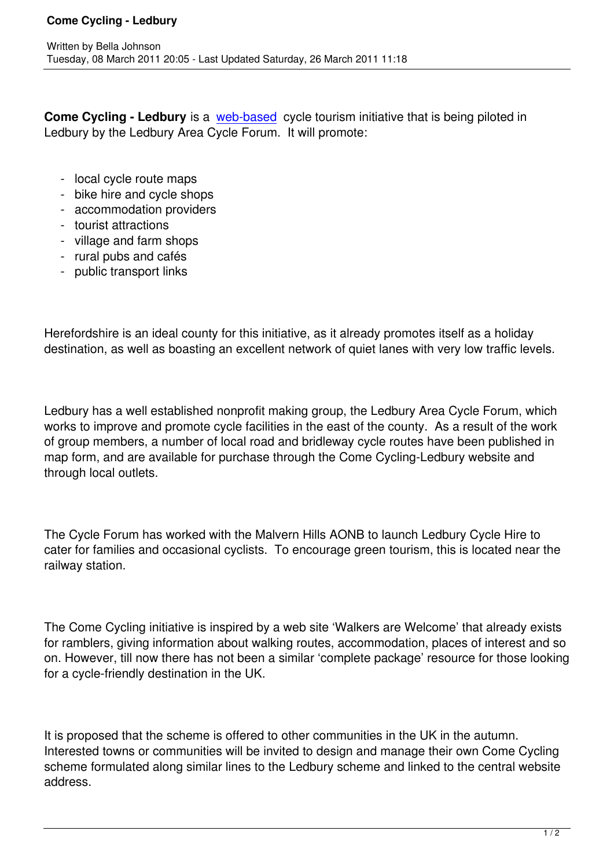**Come Cycling - Ledbury** is a web-based cycle tourism initiative that is being piloted in Ledbury by the Ledbury Area Cycle Forum. It will promote:

- local cycle route maps
- bike hire and cycle shops
- accommodation providers
- tourist attractions
- village and farm shops
- rural pubs and cafés
- public transport links

Herefordshire is an ideal county for this initiative, as it already promotes itself as a holiday destination, as well as boasting an excellent network of quiet lanes with very low traffic levels.

Ledbury has a well established nonprofit making group, the Ledbury Area Cycle Forum, which works to improve and promote cycle facilities in the east of the county. As a result of the work of group members, a number of local road and bridleway cycle routes have been published in map form, and are available for purchase through the Come Cycling-Ledbury website and through local outlets.

The Cycle Forum has worked with the Malvern Hills AONB to launch Ledbury Cycle Hire to cater for families and occasional cyclists. To encourage green tourism, this is located near the railway station.

The Come Cycling initiative is inspired by a web site 'Walkers are Welcome' that already exists for ramblers, giving information about walking routes, accommodation, places of interest and so on. However, till now there has not been a similar 'complete package' resource for those looking for a cycle-friendly destination in the UK.

It is proposed that the scheme is offered to other communities in the UK in the autumn. Interested towns or communities will be invited to design and manage their own Come Cycling scheme formulated along similar lines to the Ledbury scheme and linked to the central website address.